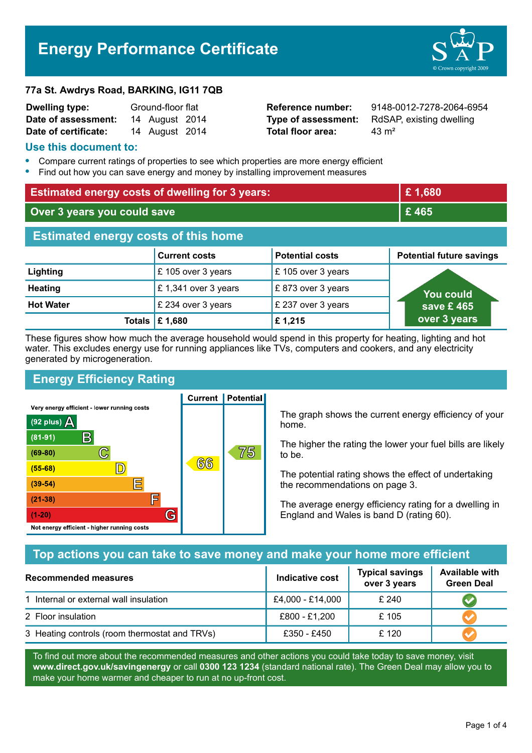# **Energy Performance Certificate**



#### **77a St. Awdrys Road, BARKING, IG11 7QB**

| <b>Dwelling type:</b> | Ground-floor flat |                |  |
|-----------------------|-------------------|----------------|--|
| Date of assessment:   |                   | 14 August 2014 |  |
| Date of certificate:  |                   | 14 August 2014 |  |

**Total floor area:** 43 m<sup>2</sup>

**Reference number:** 9148-0012-7278-2064-6954 **Type of assessment:** RdSAP, existing dwelling

#### **Use this document to:**

- **•** Compare current ratings of properties to see which properties are more energy efficient
- **•** Find out how you can save energy and money by installing improvement measures

| <b>Estimated energy costs of dwelling for 3 years:</b> |                           | £1,680                 |                                 |
|--------------------------------------------------------|---------------------------|------------------------|---------------------------------|
| Over 3 years you could save                            |                           | £465                   |                                 |
| <b>Estimated energy costs of this home</b>             |                           |                        |                                 |
|                                                        | <b>Current costs</b>      | <b>Potential costs</b> | <b>Potential future savings</b> |
| Lighting                                               | £105 over 3 years         | £ 105 over 3 years     |                                 |
| <b>Heating</b>                                         | £1,341 over 3 years       | £873 over 3 years      | <b>You could</b>                |
| <b>Hot Water</b>                                       | £ 234 over 3 years        | £ 237 over 3 years     | save £465                       |
|                                                        | Totals $\mathsf{E}$ 1,680 | £1,215                 | over 3 years                    |

These figures show how much the average household would spend in this property for heating, lighting and hot water. This excludes energy use for running appliances like TVs, computers and cookers, and any electricity generated by microgeneration.

**Current | Potential** 

## **Energy Efficiency Rating**

Very energy efficient - lower running costs



The graph shows the current energy efficiency of your home.

The higher the rating the lower your fuel bills are likely to be.

The potential rating shows the effect of undertaking the recommendations on page 3.

The average energy efficiency rating for a dwelling in England and Wales is band D (rating 60).

## **Top actions you can take to save money and make your home more efficient**

| <b>Recommended measures</b>                   | Indicative cost  | <b>Typical savings</b><br>over 3 years | <b>Available with</b><br><b>Green Deal</b> |
|-----------------------------------------------|------------------|----------------------------------------|--------------------------------------------|
| 1 Internal or external wall insulation        | £4,000 - £14,000 | £ 240                                  |                                            |
| 2 Floor insulation                            | £800 - £1,200    | £105                                   |                                            |
| 3 Heating controls (room thermostat and TRVs) | £350 - £450      | £ 120                                  |                                            |

To find out more about the recommended measures and other actions you could take today to save money, visit **www.direct.gov.uk/savingenergy** or call **0300 123 1234** (standard national rate). The Green Deal may allow you to make your home warmer and cheaper to run at no up-front cost.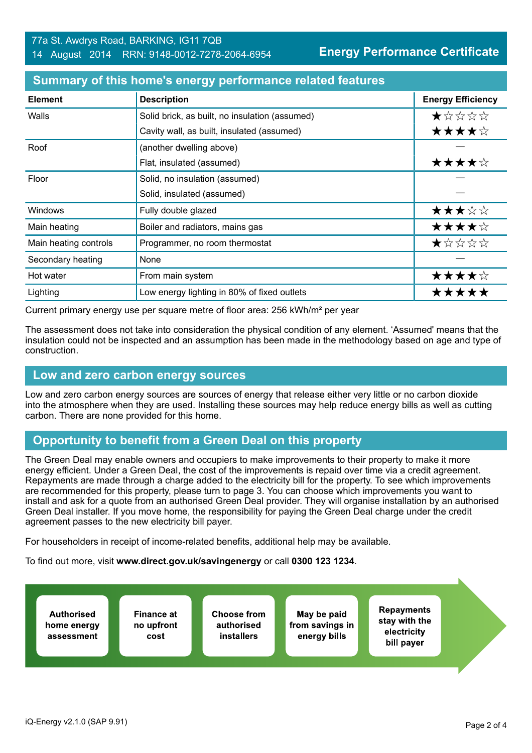| <b>Element</b>        | <b>Description</b>                             | <b>Energy Efficiency</b> |
|-----------------------|------------------------------------------------|--------------------------|
| Walls                 | Solid brick, as built, no insulation (assumed) | *****                    |
|                       | Cavity wall, as built, insulated (assumed)     | ★★★★☆                    |
| Roof                  | (another dwelling above)                       |                          |
|                       | Flat, insulated (assumed)                      | ★★★★☆                    |
| Floor                 | Solid, no insulation (assumed)                 |                          |
|                       | Solid, insulated (assumed)                     |                          |
| <b>Windows</b>        | Fully double glazed                            | ★★★☆☆                    |
| Main heating          | Boiler and radiators, mains gas                | ★★★★☆                    |
| Main heating controls | Programmer, no room thermostat                 | ★☆☆☆☆                    |
| Secondary heating     | None                                           |                          |
| Hot water             | From main system                               | ★★★★☆                    |
| Lighting              | Low energy lighting in 80% of fixed outlets    | *****                    |

#### **Summary of this home's energy performance related features**

Current primary energy use per square metre of floor area: 256 kWh/m² per year

The assessment does not take into consideration the physical condition of any element. 'Assumed' means that the insulation could not be inspected and an assumption has been made in the methodology based on age and type of construction.

#### **Low and zero carbon energy sources**

Low and zero carbon energy sources are sources of energy that release either very little or no carbon dioxide into the atmosphere when they are used. Installing these sources may help reduce energy bills as well as cutting carbon. There are none provided for this home.

# **Opportunity to benefit from a Green Deal on this property**

The Green Deal may enable owners and occupiers to make improvements to their property to make it more energy efficient. Under a Green Deal, the cost of the improvements is repaid over time via a credit agreement. Repayments are made through a charge added to the electricity bill for the property. To see which improvements are recommended for this property, please turn to page 3. You can choose which improvements you want to install and ask for a quote from an authorised Green Deal provider. They will organise installation by an authorised Green Deal installer. If you move home, the responsibility for paying the Green Deal charge under the credit agreement passes to the new electricity bill payer.

For householders in receipt of income-related benefits, additional help may be available.

To find out more, visit **www.direct.gov.uk/savingenergy** or call **0300 123 1234**.

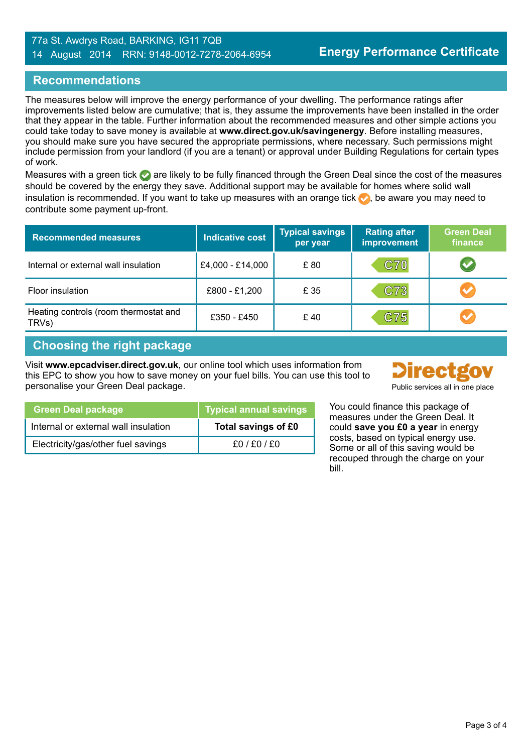#### 77a St. Awdrys Road, BARKING, IG11 7QB 14 August 2014 RRN: 9148-0012-7278-2064-6954

#### **Recommendations**

The measures below will improve the energy performance of your dwelling. The performance ratings after improvements listed below are cumulative; that is, they assume the improvements have been installed in the order that they appear in the table. Further information about the recommended measures and other simple actions you could take today to save money is available at **www.direct.gov.uk/savingenergy**. Before installing measures, you should make sure you have secured the appropriate permissions, where necessary. Such permissions might include permission from your landlord (if you are a tenant) or approval under Building Regulations for certain types of work.

Measures with a green tick are likely to be fully financed through the Green Deal since the cost of the measures should be covered by the energy they save. Additional support may be available for homes where solid wall insulation is recommended. If you want to take up measures with an orange tick  $\bullet$ , be aware you may need to contribute some payment up-front.

| <b>Recommended measures</b>                    | <b>Indicative cost</b> | <b>Typical savings</b><br>per year | <b>Rating after</b><br>improvement | <b>Green Deal</b><br>finance |
|------------------------------------------------|------------------------|------------------------------------|------------------------------------|------------------------------|
| Internal or external wall insulation           | £4,000 - £14,000       | £80                                | <b>C70</b>                         | $\blacktriangledown$         |
| Floor insulation                               | £800 - £1,200          | £ 35                               | C73                                | $\blacktriangleright$        |
| Heating controls (room thermostat and<br>TRVs) | £350 - £450            | £40                                | C75                                | $\bullet$                    |

#### **Choosing the right package**

Visit **www.epcadviser.direct.gov.uk**, our online tool which uses information from this EPC to show you how to save money on your fuel bills. You can use this tool to personalise your Green Deal package. Public services all in one place



| <b>Green Deal package</b>            | <b>Typical annual savings</b> |
|--------------------------------------|-------------------------------|
| Internal or external wall insulation | Total savings of £0           |
| Electricity/gas/other fuel savings   | £0/£0/£0                      |

You could finance this package of measures under the Green Deal. It could **save you £0 a year** in energy costs, based on typical energy use. Some or all of this saving would be recouped through the charge on your bill.